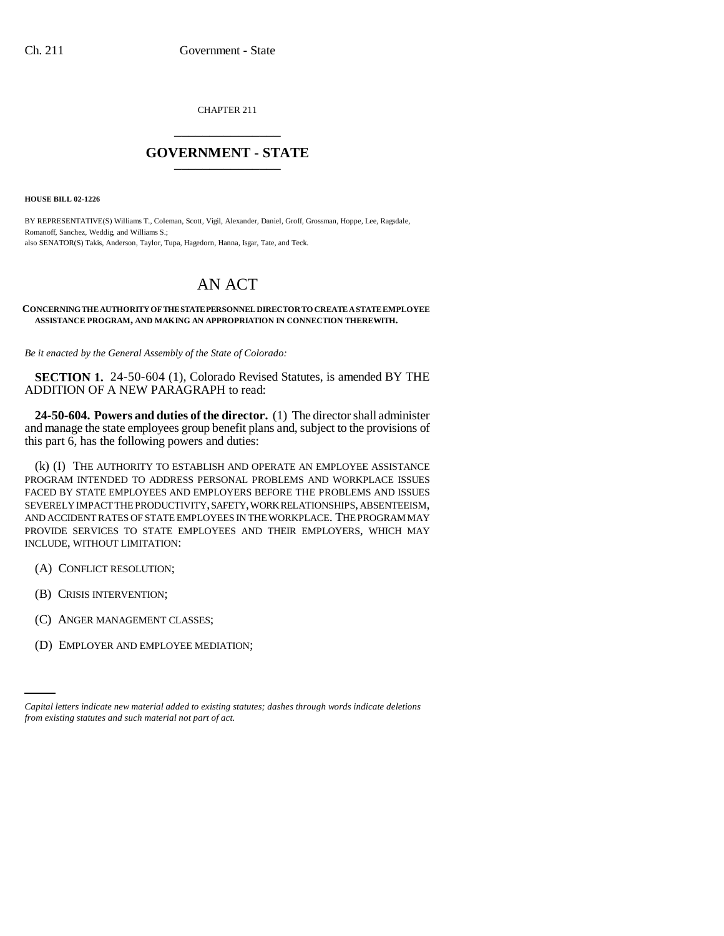CHAPTER 211 \_\_\_\_\_\_\_\_\_\_\_\_\_\_\_

## **GOVERNMENT - STATE** \_\_\_\_\_\_\_\_\_\_\_\_\_\_\_

**HOUSE BILL 02-1226**

BY REPRESENTATIVE(S) Williams T., Coleman, Scott, Vigil, Alexander, Daniel, Groff, Grossman, Hoppe, Lee, Ragsdale, Romanoff, Sanchez, Weddig, and Williams S.; also SENATOR(S) Takis, Anderson, Taylor, Tupa, Hagedorn, Hanna, Isgar, Tate, and Teck.

## AN ACT

## **CONCERNING THE AUTHORITY OF THE STATE PERSONNEL DIRECTOR TO CREATE A STATE EMPLOYEE ASSISTANCE PROGRAM, AND MAKING AN APPROPRIATION IN CONNECTION THEREWITH.**

*Be it enacted by the General Assembly of the State of Colorado:*

**SECTION 1.** 24-50-604 (1), Colorado Revised Statutes, is amended BY THE ADDITION OF A NEW PARAGRAPH to read:

**24-50-604. Powers and duties of the director.** (1) The director shall administer and manage the state employees group benefit plans and, subject to the provisions of this part 6, has the following powers and duties:

(k) (I) THE AUTHORITY TO ESTABLISH AND OPERATE AN EMPLOYEE ASSISTANCE PROGRAM INTENDED TO ADDRESS PERSONAL PROBLEMS AND WORKPLACE ISSUES FACED BY STATE EMPLOYEES AND EMPLOYERS BEFORE THE PROBLEMS AND ISSUES SEVERELY IMPACT THE PRODUCTIVITY, SAFETY, WORK RELATIONSHIPS, ABSENTEEISM, AND ACCIDENT RATES OF STATE EMPLOYEES IN THE WORKPLACE. THE PROGRAM MAY PROVIDE SERVICES TO STATE EMPLOYEES AND THEIR EMPLOYERS, WHICH MAY INCLUDE, WITHOUT LIMITATION:

- (A) CONFLICT RESOLUTION;
- (B) CRISIS INTERVENTION;
- (C) ANGER MANAGEMENT CLASSES;
- (D) EMPLOYER AND EMPLOYEE MEDIATION;

*Capital letters indicate new material added to existing statutes; dashes through words indicate deletions from existing statutes and such material not part of act.*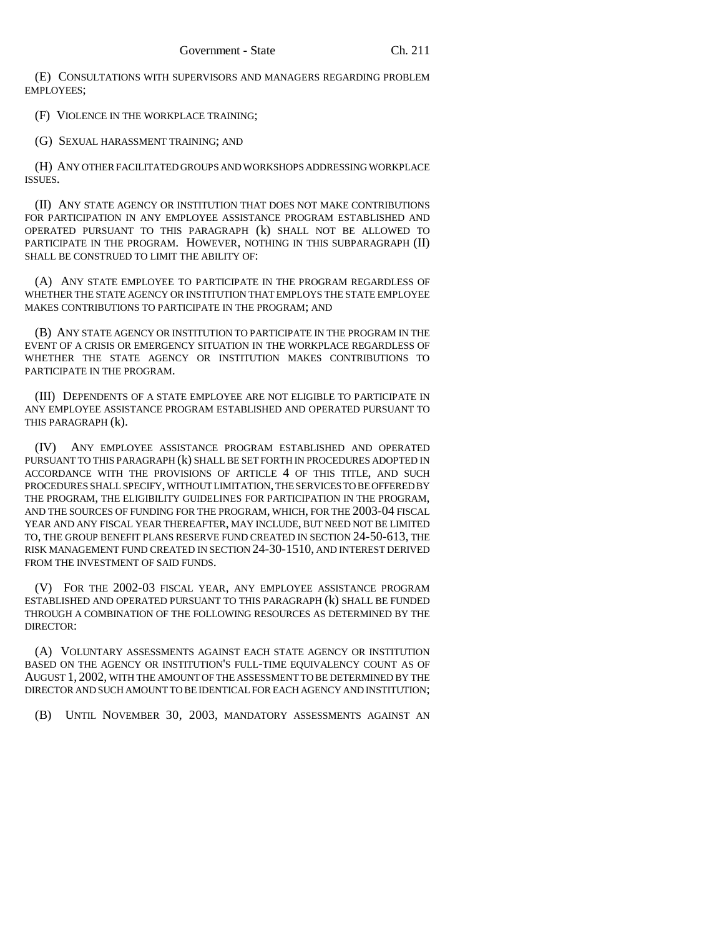(E) CONSULTATIONS WITH SUPERVISORS AND MANAGERS REGARDING PROBLEM EMPLOYEES;

(F) VIOLENCE IN THE WORKPLACE TRAINING;

(G) SEXUAL HARASSMENT TRAINING; AND

(H) ANY OTHER FACILITATED GROUPS AND WORKSHOPS ADDRESSING WORKPLACE ISSUES.

(II) ANY STATE AGENCY OR INSTITUTION THAT DOES NOT MAKE CONTRIBUTIONS FOR PARTICIPATION IN ANY EMPLOYEE ASSISTANCE PROGRAM ESTABLISHED AND OPERATED PURSUANT TO THIS PARAGRAPH (k) SHALL NOT BE ALLOWED TO PARTICIPATE IN THE PROGRAM. HOWEVER, NOTHING IN THIS SUBPARAGRAPH (II) SHALL BE CONSTRUED TO LIMIT THE ABILITY OF:

(A) ANY STATE EMPLOYEE TO PARTICIPATE IN THE PROGRAM REGARDLESS OF WHETHER THE STATE AGENCY OR INSTITUTION THAT EMPLOYS THE STATE EMPLOYEE MAKES CONTRIBUTIONS TO PARTICIPATE IN THE PROGRAM; AND

(B) ANY STATE AGENCY OR INSTITUTION TO PARTICIPATE IN THE PROGRAM IN THE EVENT OF A CRISIS OR EMERGENCY SITUATION IN THE WORKPLACE REGARDLESS OF WHETHER THE STATE AGENCY OR INSTITUTION MAKES CONTRIBUTIONS TO PARTICIPATE IN THE PROGRAM.

(III) DEPENDENTS OF A STATE EMPLOYEE ARE NOT ELIGIBLE TO PARTICIPATE IN ANY EMPLOYEE ASSISTANCE PROGRAM ESTABLISHED AND OPERATED PURSUANT TO THIS PARAGRAPH (k).

(IV) ANY EMPLOYEE ASSISTANCE PROGRAM ESTABLISHED AND OPERATED PURSUANT TO THIS PARAGRAPH (k) SHALL BE SET FORTH IN PROCEDURES ADOPTED IN ACCORDANCE WITH THE PROVISIONS OF ARTICLE 4 OF THIS TITLE, AND SUCH PROCEDURES SHALL SPECIFY, WITHOUT LIMITATION, THE SERVICES TO BE OFFERED BY THE PROGRAM, THE ELIGIBILITY GUIDELINES FOR PARTICIPATION IN THE PROGRAM, AND THE SOURCES OF FUNDING FOR THE PROGRAM, WHICH, FOR THE 2003-04 FISCAL YEAR AND ANY FISCAL YEAR THEREAFTER, MAY INCLUDE, BUT NEED NOT BE LIMITED TO, THE GROUP BENEFIT PLANS RESERVE FUND CREATED IN SECTION 24-50-613, THE RISK MANAGEMENT FUND CREATED IN SECTION 24-30-1510, AND INTEREST DERIVED FROM THE INVESTMENT OF SAID FUNDS.

(V) FOR THE 2002-03 FISCAL YEAR, ANY EMPLOYEE ASSISTANCE PROGRAM ESTABLISHED AND OPERATED PURSUANT TO THIS PARAGRAPH (k) SHALL BE FUNDED THROUGH A COMBINATION OF THE FOLLOWING RESOURCES AS DETERMINED BY THE DIRECTOR:

(A) VOLUNTARY ASSESSMENTS AGAINST EACH STATE AGENCY OR INSTITUTION BASED ON THE AGENCY OR INSTITUTION'S FULL-TIME EQUIVALENCY COUNT AS OF AUGUST 1, 2002, WITH THE AMOUNT OF THE ASSESSMENT TO BE DETERMINED BY THE DIRECTOR AND SUCH AMOUNT TO BE IDENTICAL FOR EACH AGENCY AND INSTITUTION;

(B) UNTIL NOVEMBER 30, 2003, MANDATORY ASSESSMENTS AGAINST AN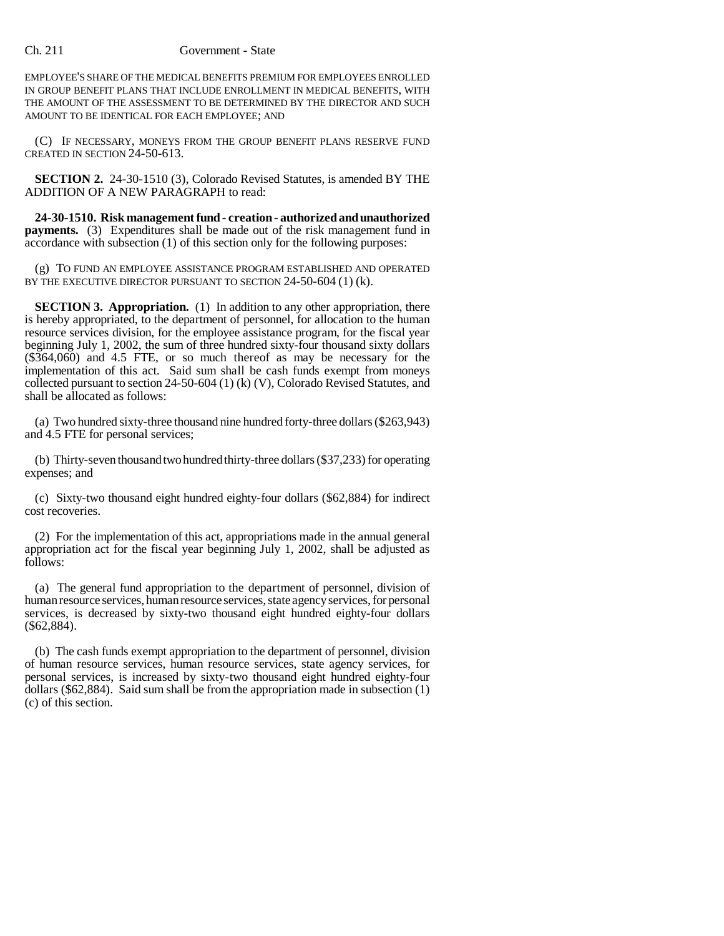## Ch. 211 Government - State

EMPLOYEE'S SHARE OF THE MEDICAL BENEFITS PREMIUM FOR EMPLOYEES ENROLLED IN GROUP BENEFIT PLANS THAT INCLUDE ENROLLMENT IN MEDICAL BENEFITS, WITH THE AMOUNT OF THE ASSESSMENT TO BE DETERMINED BY THE DIRECTOR AND SUCH AMOUNT TO BE IDENTICAL FOR EACH EMPLOYEE; AND

(C) IF NECESSARY, MONEYS FROM THE GROUP BENEFIT PLANS RESERVE FUND CREATED IN SECTION 24-50-613.

**SECTION 2.** 24-30-1510 (3), Colorado Revised Statutes, is amended BY THE ADDITION OF A NEW PARAGRAPH to read:

**24-30-1510. Risk management fund - creation - authorized and unauthorized payments.** (3) Expenditures shall be made out of the risk management fund in accordance with subsection (1) of this section only for the following purposes:

(g) TO FUND AN EMPLOYEE ASSISTANCE PROGRAM ESTABLISHED AND OPERATED BY THE EXECUTIVE DIRECTOR PURSUANT TO SECTION 24-50-604 (1) (k).

**SECTION 3. Appropriation.** (1) In addition to any other appropriation, there is hereby appropriated, to the department of personnel, for allocation to the human resource services division, for the employee assistance program, for the fiscal year beginning July 1, 2002, the sum of three hundred sixty-four thousand sixty dollars (\$364,060) and 4.5 FTE, or so much thereof as may be necessary for the implementation of this act. Said sum shall be cash funds exempt from moneys collected pursuant to section 24-50-604 (1) (k) (V), Colorado Revised Statutes, and shall be allocated as follows:

(a) Two hundred sixty-three thousand nine hundred forty-three dollars (\$263,943) and 4.5 FTE for personal services;

(b) Thirty-seven thousand two hundred thirty-three dollars (\$37,233) for operating expenses; and

(c) Sixty-two thousand eight hundred eighty-four dollars (\$62,884) for indirect cost recoveries.

(2) For the implementation of this act, appropriations made in the annual general appropriation act for the fiscal year beginning July 1, 2002, shall be adjusted as follows:

(a) The general fund appropriation to the department of personnel, division of human resource services, human resource services, state agency services, for personal services, is decreased by sixty-two thousand eight hundred eighty-four dollars (\$62,884).

(b) The cash funds exempt appropriation to the department of personnel, division of human resource services, human resource services, state agency services, for personal services, is increased by sixty-two thousand eight hundred eighty-four dollars (\$62,884). Said sum shall be from the appropriation made in subsection (1) (c) of this section.